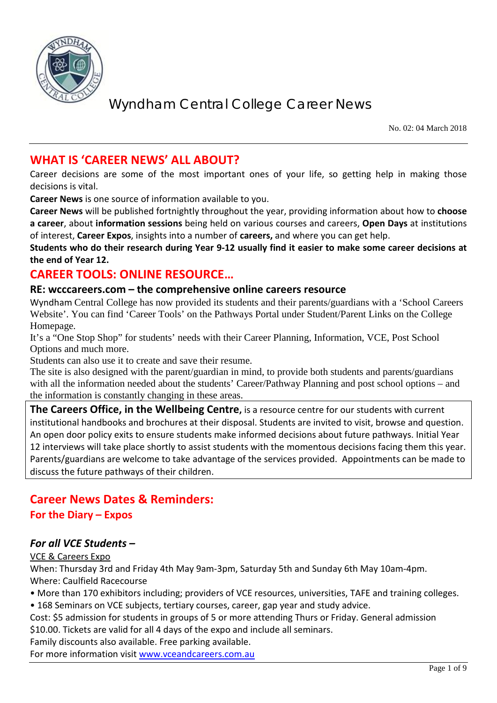

No. 02: 04 March 2018

### **WHAT IS 'CAREER NEWS' ALL ABOUT?**

Career decisions are some of the most important ones of your life, so getting help in making those decisions is vital.

**Career News** is one source of information available to you.

**Career News** will be published fortnightly throughout the year, providing information about how to **choose a career**, about **information sessions** being held on various courses and careers, **Open Days** at institutions of interest, **Career Expos**, insights into a number of **careers,** and where you can get help.

**Students who do their research during Year 9-12 usually find it easier to make some career decisions at the end of Year 12.**

## **CAREER TOOLS: ONLINE RESOURCE…**

#### **RE: wcccareers.com – the comprehensive online careers resource**

Wyndham Central College has now provided its students and their parents/guardians with a 'School Careers Website'. You can find 'Career Tools' on the Pathways Portal under Student/Parent Links on the College Homepage.

It's a "One Stop Shop" for students' needs with their Career Planning, Information, VCE, Post School Options and much more.

Students can also use it to create and save their resume.

The site is also designed with the parent/guardian in mind, to provide both students and parents/guardians with all the information needed about the students' Career/Pathway Planning and post school options – and the information is constantly changing in these areas.

**The Careers Office, in the Wellbeing Centre,** is a resource centre for our students with current institutional handbooks and brochures at their disposal. Students are invited to visit, browse and question. An open door policy exits to ensure students make informed decisions about future pathways. Initial Year 12 interviews will take place shortly to assist students with the momentous decisions facing them this year. Parents/guardians are welcome to take advantage of the services provided. Appointments can be made to discuss the future pathways of their children.

## **Career News Dates & Reminders: For the Diary – Expos**

#### *For all VCE Students –*

#### VCE & Careers Expo

When: Thursday 3rd and Friday 4th May 9am-3pm, Saturday 5th and Sunday 6th May 10am-4pm. Where: Caulfield Racecourse

- More than 170 exhibitors including; providers of VCE resources, universities, TAFE and training colleges.
- 168 Seminars on VCE subjects, tertiary courses, career, gap year and study advice.
- Cost: \$5 admission for students in groups of 5 or more attending Thurs or Friday. General admission \$10.00. Tickets are valid for all 4 days of the expo and include all seminars.

Family discounts also available. Free parking available.

For more information visit [www.vceandcareers.com.au](http://www.vceandcareers.com.au/)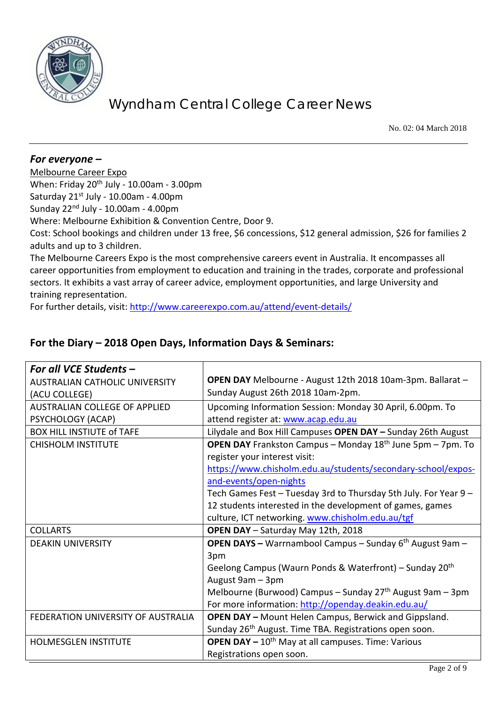

No. 02: 04 March 2018

#### *For everyone –*

Melbourne Career Expo When: Friday  $20^{th}$  July - 10.00am - 3.00pm Saturday  $21^{st}$  July - 10.00am - 4.00pm Sunday  $22<sup>nd</sup>$  July - 10.00am - 4.00pm Where: Melbourne Exhibition & Convention Centre, Door 9. Cost: School bookings and children under 13 free, \$6 concessions, \$12 general admission, \$26 for families 2 adults and up to 3 children. The Melbourne Careers Expo is the most comprehensive careers event in Australia. It encompasses all career opportunities from employment to education and training in the trades, corporate and professional sectors. It exhibits a vast array of career advice, employment opportunities, and large University and training representation.

For further details, visit:<http://www.careerexpo.com.au/attend/event-details/>

| For all VCE Students -                |                                                                        |
|---------------------------------------|------------------------------------------------------------------------|
| <b>AUSTRALIAN CATHOLIC UNIVERSITY</b> | OPEN DAY Melbourne - August 12th 2018 10am-3pm. Ballarat -             |
| (ACU COLLEGE)                         | Sunday August 26th 2018 10am-2pm.                                      |
| <b>AUSTRALIAN COLLEGE OF APPLIED</b>  | Upcoming Information Session: Monday 30 April, 6.00pm. To              |
| PSYCHOLOGY (ACAP)                     | attend register at: www.acap.edu.au                                    |
| <b>BOX HILL INSTIUTE of TAFE</b>      | Lilydale and Box Hill Campuses OPEN DAY - Sunday 26th August           |
| <b>CHISHOLM INSTITUTE</b>             | <b>OPEN DAY</b> Frankston Campus – Monday $18th$ June 5pm – 7pm. To    |
|                                       | register your interest visit:                                          |
|                                       | https://www.chisholm.edu.au/students/secondary-school/expos-           |
|                                       | and-events/open-nights                                                 |
|                                       | Tech Games Fest - Tuesday 3rd to Thursday 5th July. For Year 9 -       |
|                                       | 12 students interested in the development of games, games              |
|                                       | culture, ICT networking. www.chisholm.edu.au/tgf                       |
| <b>COLLARTS</b>                       | OPEN DAY - Saturday May 12th, 2018                                     |
| <b>DEAKIN UNIVERSITY</b>              | <b>OPEN DAYS</b> - Warrnambool Campus - Sunday $6th$ August 9am -      |
|                                       | 3pm                                                                    |
|                                       | Geelong Campus (Waurn Ponds & Waterfront) – Sunday 20 <sup>th</sup>    |
|                                       | August 9am - 3pm                                                       |
|                                       | Melbourne (Burwood) Campus – Sunday $27th$ August 9am – 3pm            |
|                                       | For more information: http://openday.deakin.edu.au/                    |
| FEDERATION UNIVERSITY OF AUSTRALIA    | <b>OPEN DAY - Mount Helen Campus, Berwick and Gippsland.</b>           |
|                                       | Sunday 26 <sup>th</sup> August. Time TBA. Registrations open soon.     |
| <b>HOLMESGLEN INSTITUTE</b>           | <b>OPEN DAY</b> $-10$ <sup>th</sup> May at all campuses. Time: Various |
|                                       | Registrations open soon.                                               |

#### **For the Diary – 2018 Open Days, Information Days & Seminars:**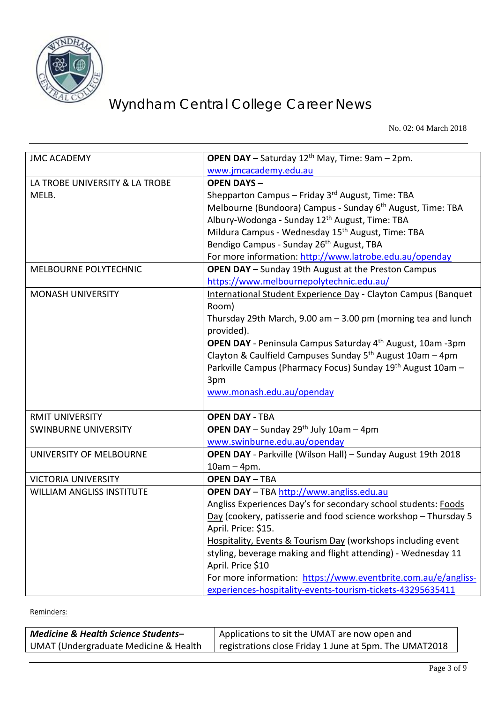

No. 02: 04 March 2018

| <b>JMC ACADEMY</b>               | OPEN DAY - Saturday 12 <sup>th</sup> May, Time: 9am - 2pm.                    |
|----------------------------------|-------------------------------------------------------------------------------|
|                                  | www.jmcacademy.edu.au                                                         |
| LA TROBE UNIVERSITY & LA TROBE   | <b>OPEN DAYS-</b>                                                             |
| MELB.                            | Shepparton Campus - Friday 3rd August, Time: TBA                              |
|                                  | Melbourne (Bundoora) Campus - Sunday 6 <sup>th</sup> August, Time: TBA        |
|                                  | Albury-Wodonga - Sunday 12 <sup>th</sup> August, Time: TBA                    |
|                                  | Mildura Campus - Wednesday 15 <sup>th</sup> August, Time: TBA                 |
|                                  | Bendigo Campus - Sunday 26 <sup>th</sup> August, TBA                          |
|                                  | For more information: http://www.latrobe.edu.au/openday                       |
| <b>MELBOURNE POLYTECHNIC</b>     | <b>OPEN DAY - Sunday 19th August at the Preston Campus</b>                    |
|                                  | https://www.melbournepolytechnic.edu.au/                                      |
| <b>MONASH UNIVERSITY</b>         | International Student Experience Day - Clayton Campus (Banquet<br>Room)       |
|                                  | Thursday 29th March, 9.00 am $-$ 3.00 pm (morning tea and lunch<br>provided). |
|                                  | <b>OPEN DAY</b> - Peninsula Campus Saturday 4 <sup>th</sup> August, 10am -3pm |
|                                  | Clayton & Caulfield Campuses Sunday 5 <sup>th</sup> August 10am - 4pm         |
|                                  | Parkville Campus (Pharmacy Focus) Sunday 19 <sup>th</sup> August 10am -       |
|                                  | 3pm                                                                           |
|                                  | www.monash.edu.au/openday                                                     |
| <b>RMIT UNIVERSITY</b>           | <b>OPEN DAY - TBA</b>                                                         |
| <b>SWINBURNE UNIVERSITY</b>      | <b>OPEN DAY</b> - Sunday 29 <sup>th</sup> July 10am - 4pm                     |
|                                  | www.swinburne.edu.au/openday                                                  |
| UNIVERSITY OF MELBOURNE          | OPEN DAY - Parkville (Wilson Hall) - Sunday August 19th 2018                  |
|                                  | $10am - 4pm.$                                                                 |
| <b>VICTORIA UNIVERSITY</b>       | <b>OPEN DAY - TBA</b>                                                         |
| <b>WILLIAM ANGLISS INSTITUTE</b> | <b>OPEN DAY</b> - TBA http://www.angliss.edu.au                               |
|                                  | Angliss Experiences Day's for secondary school students: Foods                |
|                                  | Day (cookery, patisserie and food science workshop - Thursday 5               |
|                                  | April. Price: \$15.                                                           |
|                                  | Hospitality, Events & Tourism Day (workshops including event                  |
|                                  | styling, beverage making and flight attending) - Wednesday 11                 |
|                                  | April. Price \$10                                                             |
|                                  | For more information: https://www.eventbrite.com.au/e/angliss-                |
|                                  | experiences-hospitality-events-tourism-tickets-43295635411                    |

Reminders:

| <b>Medicine &amp; Health Science Students-</b>   | Applications to sit the UMAT are now open and          |
|--------------------------------------------------|--------------------------------------------------------|
| <b>UMAT (Undergraduate Medicine &amp; Health</b> | registrations close Friday 1 June at 5pm. The UMAT2018 |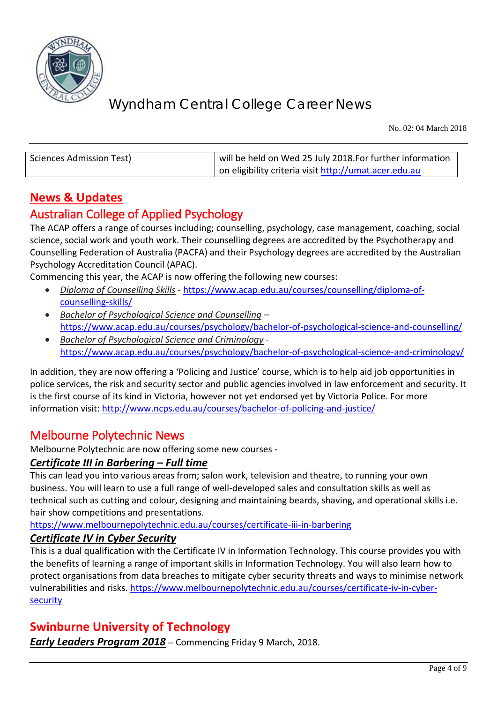

No. 02: 04 March 2018

| Sciences Admission Test) | will be held on Wed 25 July 2018. For further information |
|--------------------------|-----------------------------------------------------------|
|                          | on eligibility criteria visit http://umat.acer.edu.au     |

## **News & Updates**

## Australian College of Applied Psychology

The ACAP offers a range of courses including; counselling, psychology, case management, coaching, social science, social work and youth work. Their counselling degrees are accredited by the Psychotherapy and Counselling Federation of Australia (PACFA) and their Psychology degrees are accredited by the Australian Psychology Accreditation Council (APAC).

Commencing this year, the ACAP is now offering the following new courses:

- *Diploma of Counselling Skills* [https://www.acap.edu.au/courses/counselling/diploma-of](https://www.acap.edu.au/courses/counselling/diploma-of-counselling-skills/)[counselling-skills/](https://www.acap.edu.au/courses/counselling/diploma-of-counselling-skills/)
- *Bachelor of Psychological Science and Counselling* <https://www.acap.edu.au/courses/psychology/bachelor-of-psychological-science-and-counselling/>
- *Bachelor of Psychological Science and Criminology* <https://www.acap.edu.au/courses/psychology/bachelor-of-psychological-science-and-criminology/>

In addition, they are now offering a 'Policing and Justice' course, which is to help aid job opportunities in police services, the risk and security sector and public agencies involved in law enforcement and security. It is the first course of its kind in Victoria, however not yet endorsed yet by Victoria Police. For more information visit:<http://www.ncps.edu.au/courses/bachelor-of-policing-and-justice/>

## Melbourne Polytechnic News

Melbourne Polytechnic are now offering some new courses -

#### *Certificate III in Barbering – Full time*

This can lead you into various areas from; salon work, television and theatre, to running your own business. You will learn to use a full range of well-developed sales and consultation skills as well as technical such as cutting and colour, designing and maintaining beards, shaving, and operational skills i.e. hair show competitions and presentations.

<https://www.melbournepolytechnic.edu.au/courses/certificate-iii-in-barbering>

#### *Certificate IV in Cyber Security*

This is a dual qualification with the Certificate IV in Information Technology. This course provides you with the benefits of learning a range of important skills in Information Technology. You will also learn how to protect organisations from data breaches to mitigate cyber security threats and ways to minimise network vulnerabilities and risks. [https://www.melbournepolytechnic.edu.au/courses/certificate-iv-in-cyber](https://www.melbournepolytechnic.edu.au/courses/certificate-iv-in-cyber-security)[security](https://www.melbournepolytechnic.edu.au/courses/certificate-iv-in-cyber-security)

#### **Swinburne University of Technology**

*Early Leaders Program 2018* – Commencing Friday 9 March, 2018.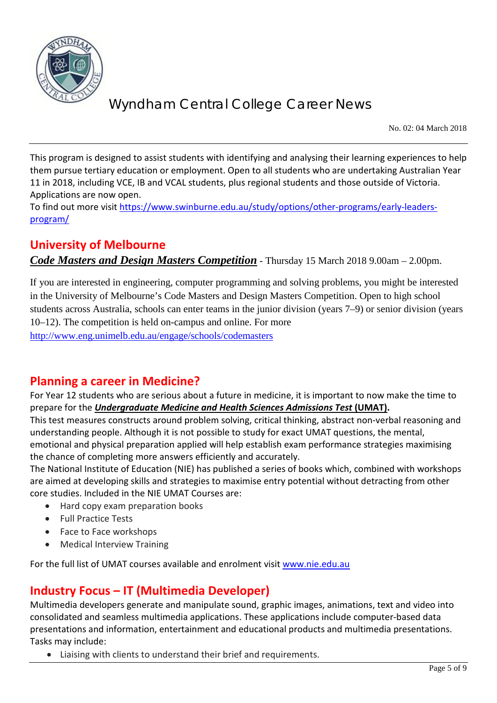

No. 02: 04 March 2018

This program is designed to assist students with identifying and analysing their learning experiences to help them pursue tertiary education or employment. Open to all students who are undertaking Australian Year 11 in 2018, including VCE, IB and VCAL students, plus regional students and those outside of Victoria. Applications are now open.

To find out more visit [https://www.swinburne.edu.au/study/options/other-programs/early-leaders](https://www.swinburne.edu.au/study/options/other-programs/early-leaders-program/)[program/](https://www.swinburne.edu.au/study/options/other-programs/early-leaders-program/)

## **University of Melbourne**

*Code Masters and Design Masters Competition* - Thursday 15 March 2018 9.00am – 2.00pm.

If you are interested in engineering, computer programming and solving problems, you might be interested in the University of Melbourne's Code Masters and Design Masters Competition. Open to high school students across Australia, schools can enter teams in the junior division (years 7–9) or senior division (years 10–12). The competition is held on-campus and online. For more <http://www.eng.unimelb.edu.au/engage/schools/codemasters>

#### **Planning a career in Medicine?**

For Year 12 students who are serious about a future in medicine, it is important to now make the time to prepare for the *Undergraduate Medicine and Health Sciences Admissions Test* **(UMAT).**

This test measures constructs around problem solving, critical thinking, abstract non-verbal reasoning and understanding people. Although it is not possible to study for exact UMAT questions, the mental, emotional and physical preparation applied will help establish exam performance strategies maximising the chance of completing more answers efficiently and accurately.

The National Institute of Education (NIE) has published a series of books which, combined with workshops are aimed at developing skills and strategies to maximise entry potential without detracting from other core studies. Included in the NIE UMAT Courses are:

- Hard copy exam preparation books
- Full Practice Tests
- Face to Face workshops
- Medical Interview Training

For the full list of UMAT courses available and enrolment visit [www.nie.edu.au](http://www.nie.edu.au/)

## **Industry Focus – IT (Multimedia Developer)**

Multimedia developers generate and manipulate sound, graphic images, animations, text and video into consolidated and seamless multimedia applications. These applications include computer-based data presentations and information, entertainment and educational products and multimedia presentations. Tasks may include:

• Liaising with clients to understand their brief and requirements.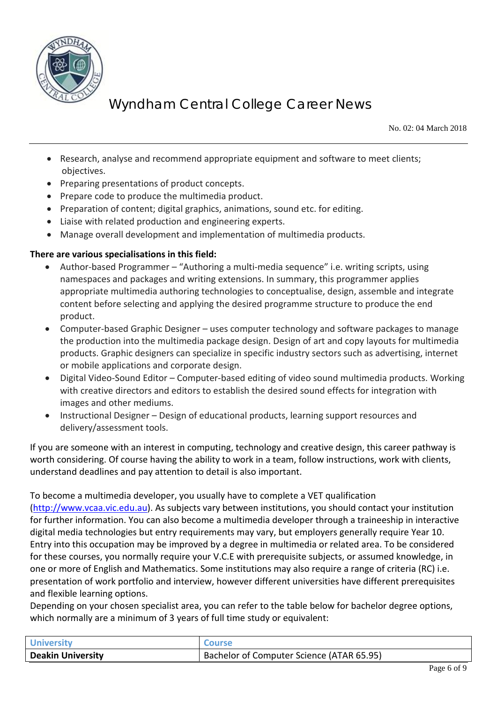

No. 02: 04 March 2018

- Research, analyse and recommend appropriate equipment and software to meet clients; objectives.
- Preparing presentations of product concepts.
- Prepare code to produce the multimedia product.
- Preparation of content; digital graphics, animations, sound etc. for editing.
- Liaise with related production and engineering experts.
- Manage overall development and implementation of multimedia products.

#### **There are various specialisations in this field:**

- Author-based Programmer "Authoring a multi-media sequence" i.e. writing scripts, using namespaces and packages and writing extensions. In summary, this programmer applies appropriate multimedia authoring technologies to conceptualise, design, assemble and integrate content before selecting and applying the desired programme structure to produce the end product.
- Computer-based Graphic Designer uses computer technology and software packages to manage the production into the multimedia package design. Design of art and copy layouts for multimedia products. Graphic designers can specialize in specific industry sectors such as advertising, internet or mobile applications and corporate design.
- Digital Video-Sound Editor Computer-based editing of video sound multimedia products. Working with creative directors and editors to establish the desired sound effects for integration with images and other mediums.
- Instructional Designer Design of educational products, learning support resources and delivery/assessment tools.

If you are someone with an interest in computing, technology and creative design, this career pathway is worth considering. Of course having the ability to work in a team, follow instructions, work with clients, understand deadlines and pay attention to detail is also important.

To become a multimedia developer, you usually have to complete a VET qualification

[\(http://www.vcaa.vic.edu.au\)](http://www.vcaa.vic.edu.au/). As subjects vary between institutions, you should contact your institution for further information. You can also become a multimedia developer through a traineeship in interactive digital media technologies but entry requirements may vary, but employers generally require Year 10. Entry into this occupation may be improved by a degree in multimedia or related area. To be considered for these courses, you normally require your V.C.E with prerequisite subjects, or assumed knowledge, in one or more of English and Mathematics. Some institutions may also require a range of criteria (RC) i.e. presentation of work portfolio and interview, however different universities have different prerequisites and flexible learning options.

Depending on your chosen specialist area, you can refer to the table below for bachelor degree options, which normally are a minimum of 3 years of full time study or equivalent:

| <b>University</b>        | <b>Course</b>                             |
|--------------------------|-------------------------------------------|
| <b>Deakin University</b> | Bachelor of Computer Science (ATAR 65.95) |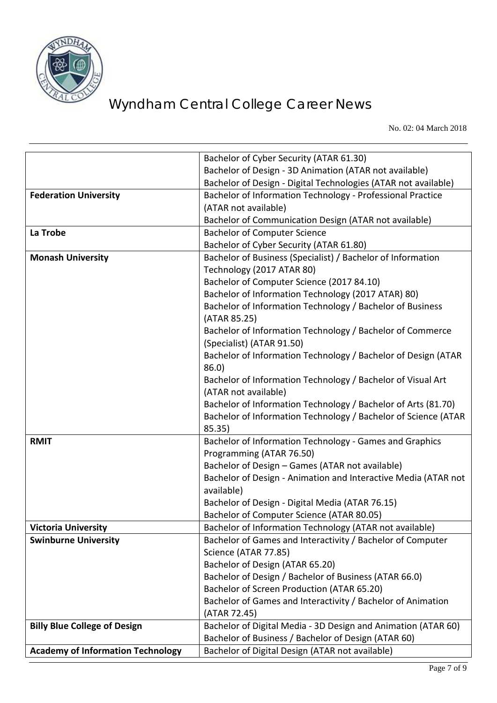

No. 02: 04 March 2018

|                                          | Bachelor of Cyber Security (ATAR 61.30)                        |
|------------------------------------------|----------------------------------------------------------------|
|                                          | Bachelor of Design - 3D Animation (ATAR not available)         |
|                                          | Bachelor of Design - Digital Technologies (ATAR not available) |
| <b>Federation University</b>             | Bachelor of Information Technology - Professional Practice     |
|                                          | (ATAR not available)                                           |
|                                          | Bachelor of Communication Design (ATAR not available)          |
| La Trobe                                 | <b>Bachelor of Computer Science</b>                            |
|                                          | Bachelor of Cyber Security (ATAR 61.80)                        |
| <b>Monash University</b>                 | Bachelor of Business (Specialist) / Bachelor of Information    |
|                                          | Technology (2017 ATAR 80)                                      |
|                                          | Bachelor of Computer Science (2017 84.10)                      |
|                                          | Bachelor of Information Technology (2017 ATAR) 80)             |
|                                          | Bachelor of Information Technology / Bachelor of Business      |
|                                          | (ATAR 85.25)                                                   |
|                                          | Bachelor of Information Technology / Bachelor of Commerce      |
|                                          | (Specialist) (ATAR 91.50)                                      |
|                                          | Bachelor of Information Technology / Bachelor of Design (ATAR  |
|                                          | 86.0)                                                          |
|                                          | Bachelor of Information Technology / Bachelor of Visual Art    |
|                                          | (ATAR not available)                                           |
|                                          | Bachelor of Information Technology / Bachelor of Arts (81.70)  |
|                                          | Bachelor of Information Technology / Bachelor of Science (ATAR |
|                                          | 85.35)                                                         |
| <b>RMIT</b>                              | Bachelor of Information Technology - Games and Graphics        |
|                                          | Programming (ATAR 76.50)                                       |
|                                          | Bachelor of Design - Games (ATAR not available)                |
|                                          | Bachelor of Design - Animation and Interactive Media (ATAR not |
|                                          | available)                                                     |
|                                          | Bachelor of Design - Digital Media (ATAR 76.15)                |
|                                          | Bachelor of Computer Science (ATAR 80.05)                      |
| <b>Victoria University</b>               | Bachelor of Information Technology (ATAR not available)        |
| <b>Swinburne University</b>              | Bachelor of Games and Interactivity / Bachelor of Computer     |
|                                          | Science (ATAR 77.85)                                           |
|                                          | Bachelor of Design (ATAR 65.20)                                |
|                                          | Bachelor of Design / Bachelor of Business (ATAR 66.0)          |
|                                          | Bachelor of Screen Production (ATAR 65.20)                     |
|                                          | Bachelor of Games and Interactivity / Bachelor of Animation    |
|                                          | (ATAR 72.45)                                                   |
| <b>Billy Blue College of Design</b>      | Bachelor of Digital Media - 3D Design and Animation (ATAR 60)  |
|                                          | Bachelor of Business / Bachelor of Design (ATAR 60)            |
| <b>Academy of Information Technology</b> | Bachelor of Digital Design (ATAR not available)                |
|                                          |                                                                |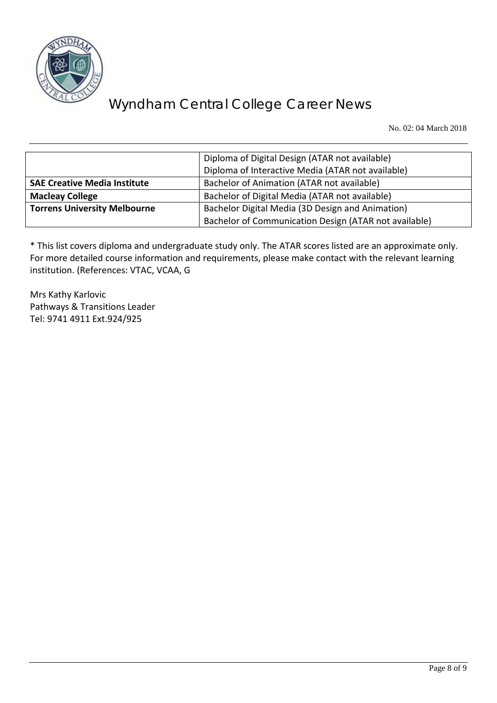

No. 02: 04 March 2018

|                                     | Diploma of Digital Design (ATAR not available)        |
|-------------------------------------|-------------------------------------------------------|
|                                     | Diploma of Interactive Media (ATAR not available)     |
| <b>SAE Creative Media Institute</b> | Bachelor of Animation (ATAR not available)            |
| <b>Macleay College</b>              | Bachelor of Digital Media (ATAR not available)        |
| <b>Torrens University Melbourne</b> | Bachelor Digital Media (3D Design and Animation)      |
|                                     | Bachelor of Communication Design (ATAR not available) |

\* This list covers diploma and undergraduate study only. The ATAR scores listed are an approximate only. For more detailed course information and requirements, please make contact with the relevant learning institution. (References: VTAC, VCAA, G

Mrs Kathy Karlovic Pathways & Transitions Leader Tel: 9741 4911 Ext.924/925